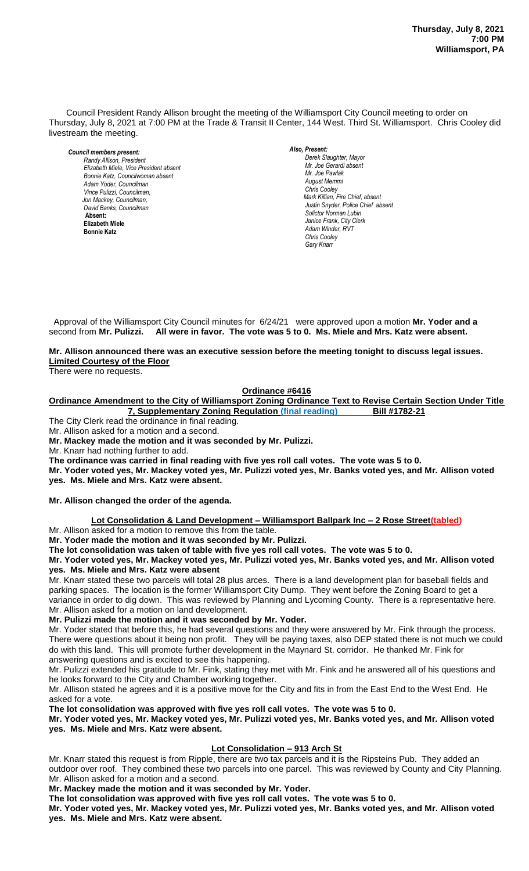Council President Randy Allison brought the meeting of the Williamsport City Council meeting to order on Thursday, July 8, 2021 at 7:00 PM at the Trade & Transit II Center, 144 West. Third St. Williamsport. Chris Cooley did livestream the meeting.

*Council members present: Randy Allison, President , President*   $E$ lizabeth Miele, Vice President absent *Bonnie Katz, Councilwoman absent Adam Yoder, Councilman Vince Pulizzi, Councilman, Jon Mackey, Councilman, David Banks, Councilman*  **Absent: Elizabeth Miele Bonnie Katz**

*Also, Present:* 

*Derek Slaughter, Mayor Mr. Joe Gerardi absent Mr. Joseph Pawlak Mr. Joe Pawlak August Memmi Chris Cooley Mark Killian, Fire Chief, absent Justin Snyder, Police Chief absent Solictor Norman Lubin Janice Frank, City Clerk Adam Winder, RVT Chris Cooley Gary Knarr*

Approval of the Williamsport City Council minutes for 6/24/21 were approved upon a motion Mr. Yoder and a second from **Mr. Pulizzi. All were in favor. The vote was 5 to 0. Ms. Miele and Mrs. Katz were absent.** *.* 

#### Mr. Allison announced there was an executive session before the meeting tonight to discuss legal issues. **Limited Courtesy of the Floor** *Mr. Tom Cillo C. Dean Heinbach, Fire Chief*

There were no requests.

#### **Ordinance #6416** *Todd Heckman, Fire Chief ,*

**Ordinance Amendment to the City of Williamsport Zoning Ordinance Text to Revise Certain Section Under Title**  *News Media* **7, Supplementary Zoning Regulation (final reading) Bill #1782-21**

The City Clerk read the ordinance in final reading.

Mr. Allison asked for a motion and a second.

**Mr. Mackey made the motion and it was seconded by Mr. Pulizzi.**

Mr. Knarr had nothing further to add.

The ordinance was carried in final reading with five yes roll call votes. The vote was 5 to 0.

**Mr. Yoder voted yes, Mr. Mackey voted yes, Mr. Pulizzi voted yes, Mr. Banks voted yes, and Mr. Allison voted yes. Ms. Miele and Mrs. Katz were absent.**

**Mr. Allison changed the order of the agenda.**

# **Lot Consolidation & Land Development – Williamsport Ballpark Inc – 2 Rose Street(tabled)**

Mr. Allison asked for a motion to remove this from the table.

**Mr. Yoder made the motion and it was seconded by Mr. Pulizzi.**

**The lot consolidation was taken of table with five yes roll call votes. The vote was 5 to 0.** 

**Mr. Yoder voted yes, Mr. Mackey voted yes, Mr. Pulizzi voted yes, Mr. Banks voted yes, and Mr. Allison voted yes. Ms. Miele and Mrs. Katz were absent**

Mr. Knarr stated these two parcels will total 28 plus arces. There is a land development plan for baseball fields and parking spaces. The location is the former Williamsport City Dump. They went before the Zoning Board to get a variance in order to dig down. This was reviewed by Planning and Lycoming County. There is a representative here. Mr. Allison asked for a motion on land development.

# **Mr. Pulizzi made the motion and it was seconded by Mr. Yoder.**

Mr. Yoder stated that before this, he had several questions and they were answered by Mr. Fink through the process. There were questions about it being non profit. They will be paying taxes, also DEP stated there is not much we could do with this land. This will promote further development in the Maynard St. corridor. He thanked Mr. Fink for answering questions and is excited to see this happening.

Mr. Pulizzi extended his gratitude to Mr. Fink, stating they met with Mr. Fink and he answered all of his questions and he looks forward to the City and Chamber working together.

Mr. Allison stated he agrees and it is a positive move for the City and fits in from the East End to the West End. He asked for a vote.

**The lot consolidation was approved with five yes roll call votes. The vote was 5 to 0.** 

## **Mr. Yoder voted yes, Mr. Mackey voted yes, Mr. Pulizzi voted yes, Mr. Banks voted yes, and Mr. Allison voted yes. Ms. Miele and Mrs. Katz were absent.**

# **Lot Consolidation – 913 Arch St**

Mr. Knarr stated this request is from Ripple, there are two tax parcels and it is the Ripsteins Pub. They added an outdoor over roof. They combined these two parcels into one parcel. This was reviewed by County and City Planning. Mr. Allison asked for a motion and a second.

**Mr. Mackey made the motion and it was seconded by Mr. Yoder.**

**The lot consolidation was approved with five yes roll call votes. The vote was 5 to 0.** 

**Mr. Yoder voted yes, Mr. Mackey voted yes, Mr. Pulizzi voted yes, Mr. Banks voted yes, and Mr. Allison voted yes. Ms. Miele and Mrs. Katz were absent.**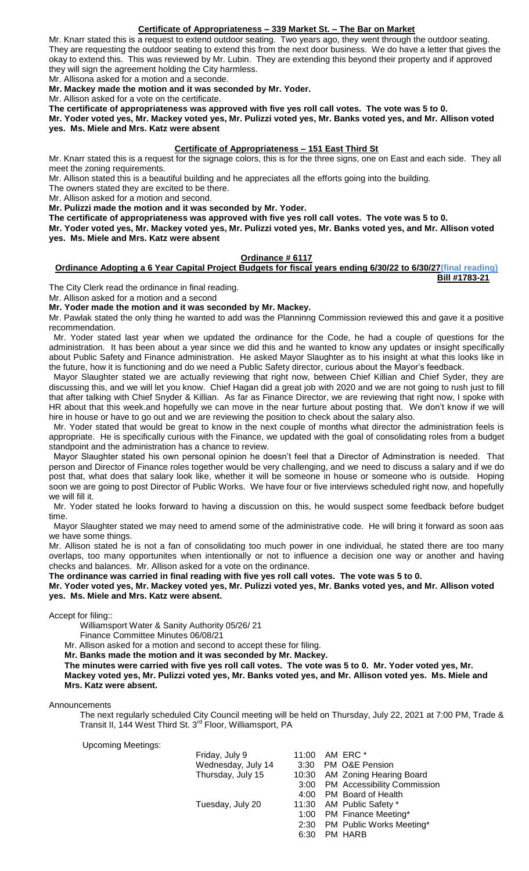## **Certificate of Appropriateness – 339 Market St. – The Bar on Market**

Mr. Knarr stated this is a request to extend outdoor seating. Two years ago, they went through the outdoor seating. They are requesting the outdoor seating to extend this from the next door business. We do have a letter that gives the okay to extend this. This was reviewed by Mr. Lubin. They are extending this beyond their property and if approved they will sign the agreement holding the City harmless.

Mr. Allisona asked for a motion and a seconde.

**Mr. Mackey made the motion and it was seconded by Mr. Yoder.**

Mr. Allison asked for a vote on the certificate.

**The certificate of appropriateness was approved with five yes roll call votes. The vote was 5 to 0.** 

**Mr. Yoder voted yes, Mr. Mackey voted yes, Mr. Pulizzi voted yes, Mr. Banks voted yes, and Mr. Allison voted yes. Ms. Miele and Mrs. Katz were absent**

#### **Certificate of Appropriateness – 151 East Third St**

Mr. Knarr stated this is a request for the signage colors, this is for the three signs, one on East and each side. They all meet the zoning requirements.

Mr. Allison stated this is a beautiful building and he appreciates all the efforts going into the building.

The owners stated they are excited to be there.

Mr. Allison asked for a motion and second.

**Mr. Pulizzi made the motion and it was seconded by Mr. Yoder.**

**The certificate of appropriateness was approved with five yes roll call votes. The vote was 5 to 0.** 

**Mr. Yoder voted yes, Mr. Mackey voted yes, Mr. Pulizzi voted yes, Mr. Banks voted yes, and Mr. Allison voted yes. Ms. Miele and Mrs. Katz were absent**

# **Ordinance # 6117**

#### **Ordinance Adopting a 6 Year Capital Project Budgets for fiscal years ending 6/30/22 to 6/30/27(final reading) Bill #1783-21**

The City Clerk read the ordinance in final reading.

Mr. Allison asked for a motion and a second

**Mr. Yoder made the motion and it was seconded by Mr. Mackey.**

Mr. Pawlak stated the only thing he wanted to add was the Planninng Commission reviewed this and gave it a positive recommendation.

 Mr. Yoder stated last year when we updated the ordinance for the Code, he had a couple of questions for the administration. It has been about a year since we did this and he wanted to know any updates or insight specifically about Public Safety and Finance administration. He asked Mayor Slaughter as to his insight at what this looks like in the future, how it is functioning and do we need a Public Safety director, curious about the Mayor's feedback.

 Mayor Slaughter stated we are actually reviewing that right now, between Chief Killian and Chief Syder, they are discussing this, and we will let you know. Chief Hagan did a great job with 2020 and we are not going to rush just to fill that after talking with Chief Snyder & Killian. As far as Finance Director, we are reviewing that right now, I spoke with HR about that this week.and hopefully we can move in the near furture about posting that. We don't know if we will hire in house or have to go out and we are reviewing the position to check about the salary also.

 Mr. Yoder stated that would be great to know in the next couple of months what director the administration feels is appropriate. He is specifically curious with the Finance, we updated with the goal of consolidating roles from a budget standpoint and the administration has a chance to review.

 Mayor Slaughter stated his own personal opinion he doesn't feel that a Director of Adminstration is needed. That person and Director of Finance roles together would be very challenging, and we need to discuss a salary and if we do post that, what does that salary look like, whether it will be someone in house or someone who is outside. Hoping soon we are going to post Director of Public Works. We have four or five interviews scheduled right now, and hopefully we will fill it.

 Mr. Yoder stated he looks forward to having a discussion on this, he would suspect some feedback before budget time.

 Mayor Slaughter stated we may need to amend some of the administrative code. He will bring it forward as soon aas we have some things.

Mr. Allison stated he is not a fan of consolidating too much power in one individual, he stated there are too many overlaps, too many opportunites when intentionally or not to influence a decision one way or another and having checks and balances. Mr. Allison asked for a vote on the ordinance.

**The ordinance was carried in final reading with five yes roll call votes. The vote was 5 to 0.** 

#### **Mr. Yoder voted yes, Mr. Mackey voted yes, Mr. Pulizzi voted yes, Mr. Banks voted yes, and Mr. Allison voted yes. Ms. Miele and Mrs. Katz were absent.**

Accept for filing::

Williamsport Water & Sanity Authority 05/26/ 21

Finance Committee Minutes 06/08/21

Mr. Allison asked for a motion and second to accept these for filing.

**Mr. Banks made the motion and it was seconded by Mr. Mackey.**

**The minutes were carried with five yes roll call votes. The vote was 5 to 0. Mr. Yoder voted yes, Mr. Mackey voted yes, Mr. Pulizzi voted yes, Mr. Banks voted yes, and Mr. Allison voted yes. Ms. Miele and Mrs. Katz were absent.**

Announcements

The next regularly scheduled City Council meeting will be held on Thursday, July 22, 2021 at 7:00 PM, Trade & Transit II, 144 West Third St. 3<sup>rd</sup> Floor, Williamsport, PA

Upcoming Meetings:

|      | 11:00 AM ERC *                   |
|------|----------------------------------|
|      | 3:30 PM O&E Pension              |
|      | 10:30 AM Zoning Hearing Board    |
|      | 3:00 PM Accessibility Commission |
|      | 4:00 PM Board of Health          |
|      | 11:30 AM Public Safety *         |
|      | 1:00 PM Finance Meeting*         |
|      | 2:30 PM Public Works Meeting*    |
| 6:30 | PM HARR                          |
|      |                                  |